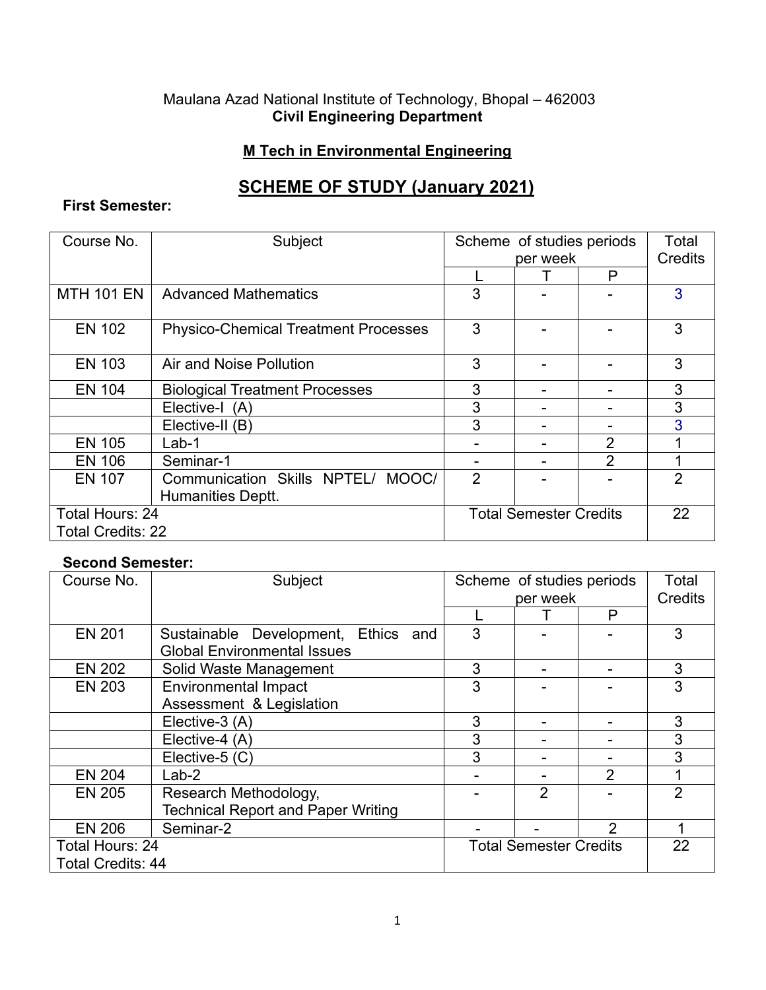### Maulana Azad National Institute of Technology, Bhopal – 462003 **Civil Engineering Department**

## **M Tech in Environmental Engineering**

# **SCHEME OF STUDY (January 2021)**

## **First Semester:**

| Course No.               | Subject                                     | Scheme of studies periods     |  | Total          |                |
|--------------------------|---------------------------------------------|-------------------------------|--|----------------|----------------|
|                          |                                             | per week                      |  | <b>Credits</b> |                |
|                          |                                             |                               |  | P              |                |
| <b>MTH 101 EN</b>        | <b>Advanced Mathematics</b>                 | 3                             |  |                | 3              |
| <b>EN 102</b>            | <b>Physico-Chemical Treatment Processes</b> | 3                             |  |                | 3              |
| <b>EN 103</b>            | Air and Noise Pollution                     | 3                             |  |                | 3              |
| <b>EN 104</b>            | <b>Biological Treatment Processes</b>       | 3                             |  |                | 3              |
|                          | Elective-I (A)                              | 3                             |  |                | 3              |
|                          | Elective-II (B)                             | 3                             |  |                | 3              |
| <b>EN 105</b>            | $Lab-1$                                     |                               |  | $\overline{2}$ |                |
| <b>EN 106</b>            | Seminar-1                                   |                               |  | $\mathcal{P}$  |                |
| <b>EN 107</b>            | Communication Skills NPTEL/<br>MOOC/        | 2                             |  |                | $\overline{2}$ |
|                          | Humanities Deptt.                           |                               |  |                |                |
| Total Hours: 24          |                                             | <b>Total Semester Credits</b> |  |                | 22             |
| <b>Total Credits: 22</b> |                                             |                               |  |                |                |

#### **Second Semester:**

| Course No.               | Subject                                   | Scheme of studies periods     |                | Total          |                |
|--------------------------|-------------------------------------------|-------------------------------|----------------|----------------|----------------|
|                          |                                           | per week                      |                | <b>Credits</b> |                |
|                          |                                           |                               |                | P              |                |
| <b>EN 201</b>            | Sustainable Development, Ethics and       | 3                             |                |                | 3              |
|                          | <b>Global Environmental Issues</b>        |                               |                |                |                |
| <b>EN 202</b>            | Solid Waste Management                    | 3                             |                |                | 3              |
| <b>EN 203</b>            | <b>Environmental Impact</b>               | 3                             |                |                | 3              |
|                          | Assessment & Legislation                  |                               |                |                |                |
|                          | Elective-3 (A)                            | 3                             |                |                | 3              |
|                          | Elective-4 (A)                            | 3                             |                |                | 3              |
|                          | Elective-5 (C)                            | 3                             |                |                | 3              |
| <b>EN 204</b>            | $Lab-2$                                   |                               |                | 2              | 1              |
| <b>EN 205</b>            | Research Methodology,                     |                               | $\overline{2}$ |                | $\overline{2}$ |
|                          | <b>Technical Report and Paper Writing</b> |                               |                |                |                |
| <b>EN 206</b>            | Seminar-2                                 |                               |                | $\mathcal{P}$  |                |
| Total Hours: 24          |                                           | <b>Total Semester Credits</b> |                |                | 22             |
| <b>Total Credits: 44</b> |                                           |                               |                |                |                |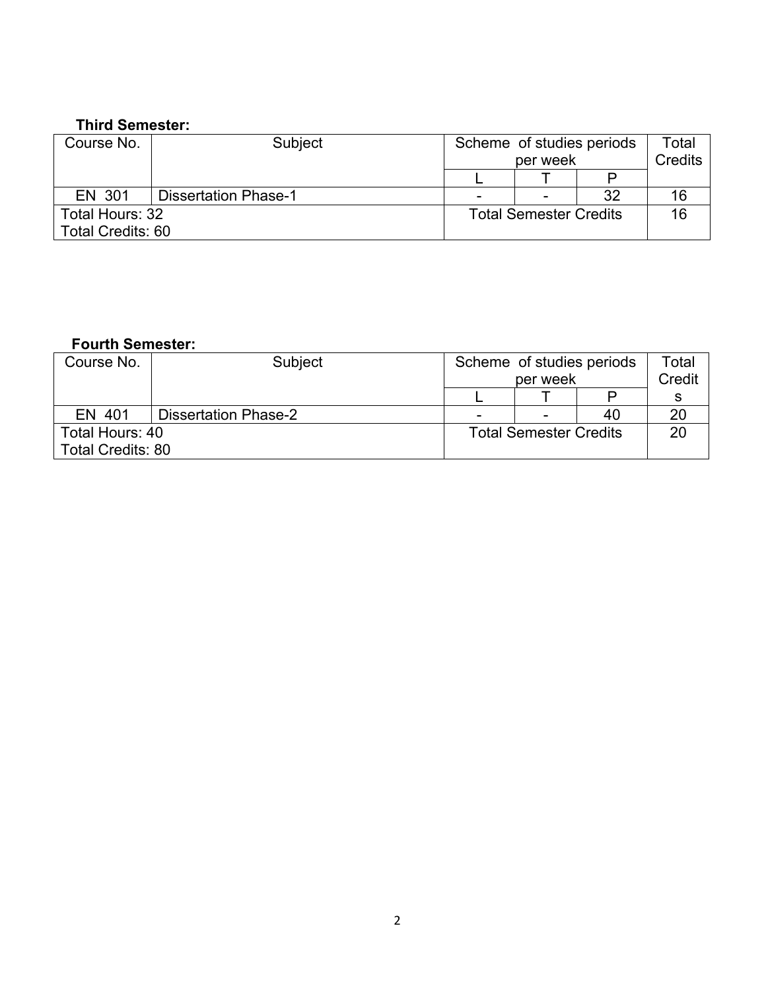#### **Third Semester:**

| Course No.               | <b>Subject</b>              | Scheme of studies periods<br>per week |  |    | Total<br>Credits |
|--------------------------|-----------------------------|---------------------------------------|--|----|------------------|
|                          |                             |                                       |  |    |                  |
| EN 301                   | <b>Dissertation Phase-1</b> | $\overline{\phantom{0}}$              |  | 32 | 16               |
| Total Hours: 32          |                             | <b>Total Semester Credits</b>         |  |    | 16               |
| <b>Total Credits: 60</b> |                             |                                       |  |    |                  |

## **Fourth Semester:**

| Course No.               | Subject                     | Scheme of studies periods     |  |        | Total |
|--------------------------|-----------------------------|-------------------------------|--|--------|-------|
|                          |                             | per week                      |  | Credit |       |
|                          |                             |                               |  |        |       |
| EN 401                   | <b>Dissertation Phase-2</b> | $\overline{\phantom{a}}$      |  | 40     | 20    |
| Total Hours: 40          |                             | <b>Total Semester Credits</b> |  |        | 20    |
| <b>Total Credits: 80</b> |                             |                               |  |        |       |